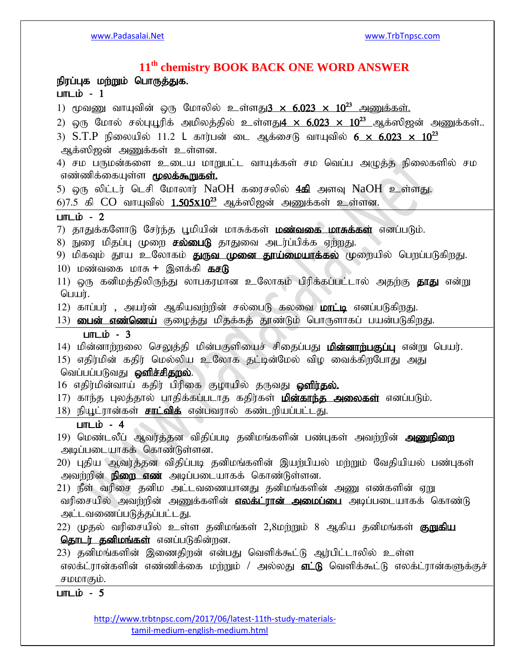# **11th chemistry BOOK BACK ONE WORD ANSWER** நிரப்புக மற்றும் பொருத்துக.  $LmL$ ம் - 1 1) மூவணு வாயுவின் ஒரு மோலில் உள்ளது $3 \times 6.023 \times 10^{23}$  அணுக்கள். 2) ஒரு மோல் சல்புயூரிக் அமிலத்தில் உள்ளது $4 \times 6.023 \times 10^{23}$  ஆக்ஸிஜன் அணுக்கள்.. 3)  $S.T.P$  நிலையில் 11.2 L கார்பன் டை ஆக்சைடு வாயுவில்  $6 \times 6.023 \times 10^{23}$ அக்ஸிஜன் அணுக்கள் உள்ளன. 4) சம பருமன்களை உடைய மாறுபட்ட வாயுக்கள் சம வெப்ப அமுக்கு நிலைகளில் சம எண்ணிக்கையுள்ள **மூலக்கூறுகள்.** 5) ஒரு லிட்டர் டெசி மோலார்  $NaOH$  கரைசலில்  $4$ கி அளவு  $NaOH$  உள்ளது.  $6$ )7.5 கி  $CO$  வாயுவில்  $1.505x10^{23}$  ஆக்ஸிஜன் அணுக்கள் உள்ளன.  $LmL$ i $\dot{D}$  - 2 7) தாதுக்களோடு சேர்ந்த பூமியின் மாசுக்கள் **மண்வகை மாசுக்கள்** எனப்படும். 8) நுரை மிதப்பு முறை **சல்பைடு** தாதுவை அடர்ப்பிக்க ஏற்றது. 9) மிகவும் தூய உலோகம் **துருவ முனை தூய்மையாக்கல்** முறையில் பெறப்படுகிறது. 10) மண்வகை மாசு + இளக்கி **கசடு** 11) ஒரு கனிமத்திலிருந்து லாபகரமான உலோகம் பிரிக்கப்பட்டால் அதற்கு **தாது** என்று  $Q$ 12) காப்பர் , அயர்ன் ஆகியவற்றின் சல்பைடு கலவை **மாட்டி** எனப்படுகிறது. 13) **பைன் எண்ணெய்** குழைத்து மிதக்கத் தூண்டும் பொருளாகப் பயன்படுகிறது.  $LmL$ i $\dot{b}$  - 3 14) மின்னாற்றலை செலுத்தி மின்பகுளியைச் சிதைப்பது **மின்னாற்பகுப்பு** என்று பெயர். 15) எதிர்மின் கதிர் மெல்லிய உலோக தட்டின்மேல் விழ வைக்கிறபோது அது வெப்பப்படுவது **ஒளிச்சிதறல்**. 16 எதிர்மின்வாய் கதிர் பிரிகை குழாயில் தருவது **ஒளிர்தல்.** 17) காந்த புலத்தால் பாதிக்கப்படாத கதிர்கள் **மின்காந்த அலைகள்** எனப்படும். 18) நியூட்ரான்கள் **சாட்விக்** என்பவரால் கண்டறியப்பட்டது.  $lim$  in  $-4$ 19) மெண்டலீப் ஆவர்த்தன விதிப்படி தனிமங்களின் பண்புகள் அவற்றின் **அணுநிறை** அடிப்படையாகக் கொண்டுள்ளன. 20) புதிய ஆவர்த்தன விதிப்படி தனிமங்களின் இயற்பியல் மற்றும் வேதியியல் பண்புகள் அவற்றின் **நிறை எண்** அடிப்படையாகக் கொண்டுள்ளன. 21) நீள் வரிசை தனிம அட்டவணையானது தனிமங்களின் அணு எண்களின் ஏறு வரிசையில் அவற்றின் அணுக்களின் **எலக்ட்ரான் அமைப்பை** அடிப்படையாகக் கொண்டு அட்டவணைப்படுத்தப்பட்டது. 22) முதல் வரிசையில் உள்ள தனிமங்கள் 2,8மற்றும் 8 ஆகிய தனிமங்கள் **குறுகிய** தொடர் தனிமங்கள் எனப்படுகின்றன. 23) தனிமங்களின் இணைதிறன் என்பது வெளிக்கூட்டு ஆர்பிட்டாலில் உள்ள எலக்ட்ரான்களின் எண்ணிக்கை மற்றும் / அல்லது **எட்டு** வெளிக்கூட்டு எலக்ட்ரான்களுக்குச் சமமாகும்.  $LmL$ ம் - 5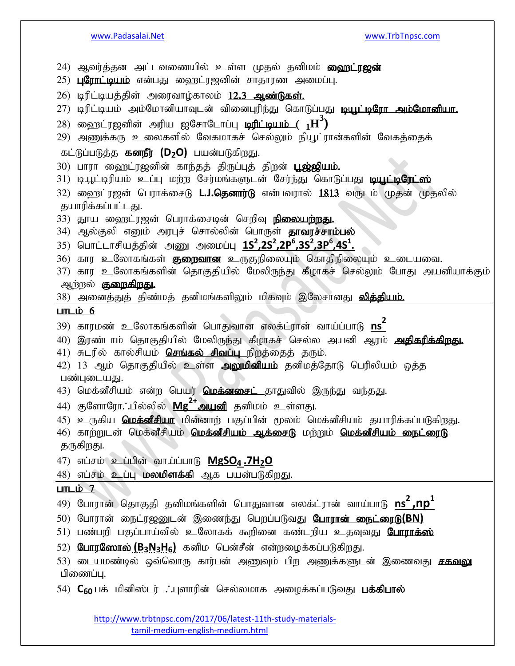24) ஆவர்த்தன அட்டவணையில் உள்ள முதல் தனிமம் **ஹைட்ரஜன்** 25) **புரோட்டியம்** என்பது ஹைட்ரஜனின் சாதாரண அமைப்பு. 26) டிரிட்டியத்தின் அரைவாழ்காலம் 12.3 ஆண்டுகள். 27) டிரிட்டியம் அம்மோனியாவுடன் வினைபுரிந்து கொடுப்பது <mark>டியூட்டிரோ அம்மோனியா.</mark>  $(28)$  ஹைட்ரஜனின் அரிய ஐசோடோப்பு **டிரிட்டியம் (**  $1\textbf{H}^3$ **)** 29) அணுக்கரு உலைகளில் வேகமாகச் செல்லும் நியூட்ரான்களின் வேகத்தைக் கட்டுப்படுத்த **கனநீர் (D<sub>2</sub>O)** பயன்படுகிறது. 30) பாரா ஹைட்ரஜனின் காந்தத் திருப்புத் திறன் **பூஜ்ஜியம்.** 31) டியூட்டிரியம் உப்பு மற்ற சேர்மங்களுடன் சேர்ந்து கொடுப்பது <mark>டியூட்டிரேட்ஸ்</mark> 32) ஹைட்ரஜன் பெராக்சைடு **L.J.தெனார்டு** என்பவரால் 1813 வருடம் முதன் முதலில் தயாரிக்கப்பட்டது. 33) தூய வைரட்ரஜன் பெராக்சைடின் செறிவு **நிலையற்றது.** 34) ஆல்குலி எனும் அரபுச் சொல்லின் பொருள் **தாவரச்சாம்பல்**  $35)$  பொட்டாசியத்தின் அணு அமைப்பு  $1S^2, 2S^2, 2P^6, 3S^2, 3P^6, 4S^1.$ 36) கார உலோகங்கள் <mark>குறைவான</mark> உருகுநிலையும் கொதிநிலையும் உடையவை. 37) கார உலோகங்களின் தொகுதியில் மேலிருந்து கீழாகச் செல்லும் போது அயனியாக்கும் ஆற்றல் **குறைகிறது.** 38) அனைத்துத் திண்மத் தனிமங்களிலும் மிகவும் இலேசானது <mark>வித்தியம்.</mark>  $LmL$ ip; 6 39) காரமண் உலோகங்களின் பொதுவான எலக்ட்ரான் வாய்ப்பாடு <mark>ns<sup>2</sup></mark> 40) இரண்டாம் தொகுதியில் மேலிருந்து கீழாகச் செல்ல அயனி ஆரம் **அதிகரிக்கிறது.** 41) சுடரில் கால்சியம் **செங்கல் சிவப்பு** நிறத்தைத் தரும். 42) 13 ஆம் தொகுதியில் உள்ள **அலுமினியம்** தனிமத்தோடு பெரிலியம் ஒத்த பண்புடையது. 43) மெக்னீசியம் என்ற பெயர் **மெக்னசைட்** தாதுவில் இருந்து வந்தது. 44) குளோரோ**∴**பில்லில் **Mg<sup>2+</sup>அயனி** தனிமம் உள்ளது. 45) உருகிய **மெக்னீசியா** மின்னார் பகுப்பின் மூலம் மெக்னீசியம் தயாரிக்கப்படுகிறது. 46) காற்றுடன் மெக்னீசியம் **மெக்னீசியம் ஆக்சைடு** மற்றும் **மெக்னீசியம் நைட்ரைடு** தருகிறது. 47) vg;rk; cg;gpd; tha;g;ghL **MgSO4 .7H2O** 48) எப்சம் உப்பு **மலமிளக்கி** ஆக பயன்படுகிறது.  $L$ m $L$ i $\dot{\text{p}}$  7 49) போரான் தொகுதி தனிமங்களின் பொதுவான எலக்ட்ரான் வாய்பாடு <mark>ns<sup>2</sup> ,np<sup>1</sup></mark> 50) போரான் நைட்ரஜனுடன் இணைந்து பெறப்படுவது **போரான் நைட்ரைடு(BN)** 51) பண்பறி பகுப்பாய்வில் உலோகக் கூறினை கண்டறிய உதவுவது **போராக்ஸ்** 52) போரணோல் (B<sub>3</sub>N<sub>3</sub>H<sub>6</sub>) கனிம பென்சீன் என்றழைக்கப்படுகிறது. 53) டையமண்டில் ஒவ்வொரு கார்பன் அணுவும் பிற அணுக்களுடன் இணைவது **சகவலு** பிணைப்பு.

54) **C<sub>60</sub> பக் மினிஸ்டர் . புளாரின் செல்லமாக அழைக்கப்படுவது <b>பக்கிபால்**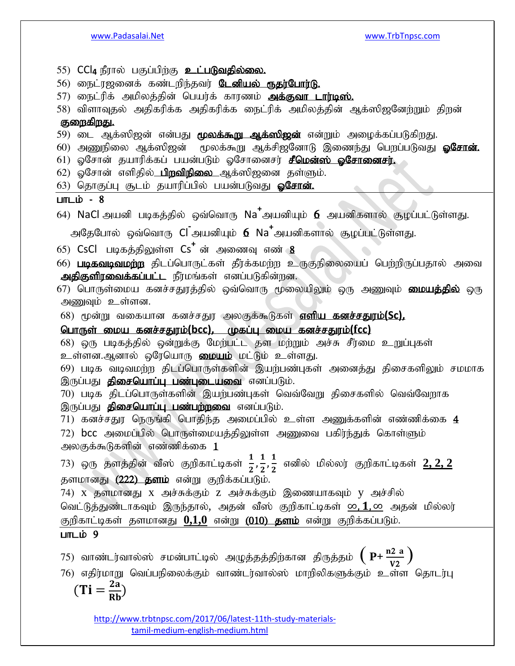- 55) CCl<sub>4</sub> நீரால் பகுப்பிற்கு **உட்படுவதில்லை.**
- 56) நைட்ரஜனைக் கண்டரிந்தவர் <mark>டேனியல் ரூதர்போர்டு.</mark>
- 57) நைட்ரிக் அமிலத்தின் பெயர்க் காரணம் **அக்குவா டார்டிஸ்.**
- 58) விளாவுதல் அதிகரிக்க அதிகரிக்க நைட்ரிக் அமிலத்தின் ஆக்ஸிஜனேற்றும் திறன் குறைகிறது.

- 59) டை ஆக்ஸிஜன் என்பது **மூலக்கூறு ஆக்ஸிஜன்** என்றும் அழைக்கப்படுகிறது.
- 60) அணுநிலை ஆக்ஸிஜன் மூலக்கூறு ஆக்சிஜனோடு இணைந்து பெறப்படுவது **ஓசோன்.**
- 61) ஓசோன் தயாரிக்கப் பயன்படும் ஓசோனைசர் **சீமென்ஸ் ஓசோனைசர்.**
- 62) ஓசோன் எளிதில் **பிறவிநிலை** ஆக்ஸிஜனை தள்ளும்.

63) தொகுப்பு சூடம் தயாரிப்பில் பயன்படுவது **ஒசோன்.** 

## $LITL$ ம் - 8

64) NaCl அயனி படிகத்தில் ஒவ்வொரு Na<sup>+</sup>அயனியும் **6** அயனிகளால் சூழப்பட்டுள்ளது.

அதேபோல் ஒவ்வொரு Cl<sup>-</sup>அயனியும் **6 Na<sup>+</sup>அயனிகளால் சூழப்பட்**டுள்ளது.

- 65) CsCl படிகத்திலுள்ள Cs<sup>+</sup> ன் அணைவு எண் <mark>8</mark>
- 66) **படிகவடிவமற்ற** திடப்பொருட்கள் தீர்க்கமற்ற உருகுநிலையைப் பெற்றிருப்பதால் அவை **அதிகுளிரவைக்கப்பட்ட** நீர்மங்கள் எனப்படுகின்றன.
- 67) பொருள்மைய கனச்சதுரத்தில் ஒவ்வொரு மூலையிலும் ஒரு அணுவும் **மையத்தில்** ஒரு அணுவும் உள்ளன.
- 68) மூன்று வகையான கனச்சதுர அலகுக்கூடுகள் **எளிய கனச்சதுரம்(Sc),**

# nghUs; ika fdr;rJuk;**(bcc),** Kfg;G ika fdr;rJuk;**(fcc)**

68) ஒரு படிகத்தில் ஒன்றுக்கு மேற்பட்ட தள மற்றும் அச்சு சீர்மை உறுப்புகள் உள்ளன.ஆனால் ஒரேயொரு மையம் மட்டும் உள்ளது.

69) படிக வடிவமற்ற திடப்பொருள்களின் இயற்பண்புகள் அனைத்து திசைகளிலும் சமமாக இருப்பது **திசையொப்பு பண்புடையவை** எனப்படும்.

70) படிக திடப்பொருள்களின் இயற்பண்புகள் வெவ்வேறு திசைகளில் வெவ்வேறாக இருப்பது **திசையொப்பு பண்பற்றவை** எனப்படும்.

71) கனச்சதுர நெருங்கி பொதிந்த அமைப்பில் உள்ள அணுக்களின் எண்ணிக்கை  $\bf 4$ 72)  $bcc$  அமைப்பில் பொருள்மையத்திலுள்ள அணுவை பகிர்ந்துக் கொள்ளும் அலகுக்கூடுகளின் எண்ணிக்கை  $1$ 

73) ஒரு தளத்தின் வீஸ் குறிகாட்டிகள்  $\frac{1}{2}$ , $\frac{1}{2}$  $\frac{1}{2}, \frac{1}{2}$  $\frac{1}{2}$  எனில் மில்லர் குறிகாட்டிகள் <u>2, 2, 2</u> தளமானது (222) தளம் என்று குறிக்கப்படும்.

74)  $\bar{x}$  தளமானது  $\bar{x}$  அச்சுக்கும்  $z$  அச்சுக்கும் இணையாகவும்  $\bar{y}$  அச்சில் வெட்டுத்துண்டாகவும் இருந்தால், அதன் வீஸ் குறிகாட்டிகள் <u>∞, 1, ∞</u> அதன் மில்லர் குறிகாட்டிகள் தளமானது **0,1,0** என்று (010) தளம் என்று குறிக்கப்படும்.

# $LmL$ i $\dot{\nu}$  9

75) வாண்டர்வால்ஸ் சமன்பாட்டில் அழுத்தத்திற்கான திருத்தம் 
$$
\left(P + \frac{n2}{V2}\right)
$$

76) எதிர்மாறு வெப்பநிலைக்கும் வாண்டர்வால்ஸ் மாறிலிகளுக்கும் உள்ள தொடர்பு

$$
(\text{Ti}=\frac{2a}{Rb})
$$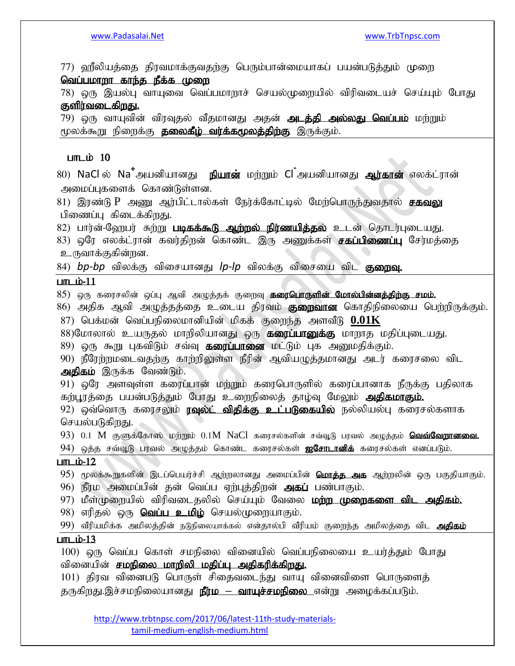77) ஹீலியத்தை திரவமாக்குவதற்கு பெரும்பான்மையாகப் பயன்படுத்தும் முறை வெப்பமாறா காந்த நீக்க முறை

78) ஒரு இயல்பு வாயுவை வெப்பமாறாச் செயல்முறையில் விரிவடையச் செய்யும் போது குளிர்வடைகிறது.

79) ஒரு வாயுவின் விரவுதல் வீதமானது அதன் **அடத்தி அல்லது வெப்பம்** மற்றும் மூலக்கூறு நிறைக்கு **தலைகீழ் வர்க்கமூலத்திற்கு** இருக்கும்.

### $LITL$ ம் 10

80) NaCl ல் Na<sup>+</sup>அயனியானது நியான் மற்றும் Cl<sup>-</sup>அயனியானது **ஆர்கான்** எலக்ட்ரான் அமைப்புகளைக் கொண்டுள்ளன.

81) இரண்டு P அணு ஆர்பிட்டால்கள் நேர்க்கோட்டில் மேற்பொருந்துவதால் **சகவலு** பிணைப்பு கிடைக்கிறது.

82) பார்ன்-வேறபர் சுற்று **படிகக்கூடு ஆற்றல் நிர்ணயிக்கல்** உடன் தொடர்புடையது.

83) ஒரே எலக்ட்ரான் கவர்திறன் கொண்ட இரு அணுக்கள் **சகப்பிணைப்பு** சேர்மத்தை உருவாக்குகின்றன.

84) *bp-bp* விலக்கு விசையானது *lp-lp* விலக்கு விசையை விட **குறைவு.** 

### $L$ m $L$ i $\dot{\nu}$ -11

85) ஒரு கரைசலின் ஒப்பு ஆவி அழுத்தக் குறைவு **கரைபொருளின் மோல்பின்னத்திற்கு சமம்.** 

86) அதிக ஆவி அழுத்தத்தை உடைய திரவம் **குறைவான** கொதிநிலையை பெற்றிருக்கும். 87) பெக்மன் வெப்பநிலைமானியின் மிகக் குறைந்த அளவீடு  $0.01\mathrm{K}$ 

88)மோலால் உயருதல் மாறிலியானது ஒரு **கரைப்பானுக்கு** மாறாத மதிப்புடையது.

89) ஒரு கூறு புகவிடும் சவ்வு **கரைப்பானை** மட்டும் புக அனுமதிக்கும்.

90) நீரேற்றமடைவதற்கு காற்றிலுள்ள நீரின் ஆவியழுத்தமானது அடர் கரைசலை விட அதிகம் இருக்க வேண்டும்.

91) ஒரே அளவுள்ள கரைப்பான் மற்றும் கரைபொருளில் கரைப்பானாக நீருக்கு பதிலாக கற்பூரத்தை பயன்படுத்தும் போது உறைநிலைத் தாழ்வு மேலும் **அதிகமாகும்.** 

92) ஒவ்வொரு கரைசலும் **ரவுல்ட் விதிக்கு உட்படுகையில்** நல்லியல்பு கரைசல்களாக செயல்படுகிறது.

93) 0.1 M குளுக்கோஸ் மற்றும் 0.1M NaCl கரைசல்களின் சவ்வூடு பரவல் அழுத்தம் **வெவ்வேறானவை.** 94) ஒத்த சவ்வூடு பரவல் அழுத்தம் கொண்ட கரைசல்கள் **ஐசோடானிக்** கரைசல்கள் எனப்படும்.

#### $L$ m $L$ i $\dot{\nu}$ -12

95) மூலக்கூறுகளின் இடப்பெயர்ச்சி ஆற்றலானது அமைப்பின் **மொத்த அக** ஆற்றலின் ஒரு பகுதியாகும். 96) நீர்ம அமைப்பின் தன் வெப்ப ஏற்புத்திறன் **அகப்** பண்பாகும்.

97) மீள்முறையில் விரிவடைதலில் செய்யும் வேலை **மற்ற முறைகளை விட அதிகம்.** 

98) எரிதல் ஒரு **வெப்ப உமிழ்** செயல்முறையாகும்.

99) வீரியமிக்க அமிலத்தின் நடுநிலையாக்கல் என்தால்பி வீரியம் குறைந்த அமிலத்தை விட **அதிகம்** 

## $L$  $m$  $L$  $b$  $-13$

100) ஒரு வெப்ப கொள் சமநிலை வினையில் வெப்பநிலையை உயர்த்தும் போது வினையின் **சமநிலை மாறிலி மதிப்பு அதிகரிக்கி<u>றது</u>.** 

101) திரவ வினைபடு பொருள் சிதைவடைந்து வாயு வினைவிளை பொருளைத் தருகிறது.இச்சமநிலையானது **நீர்ம – வாயுச்சமநிலை** என்று அழைக்கப்படும்.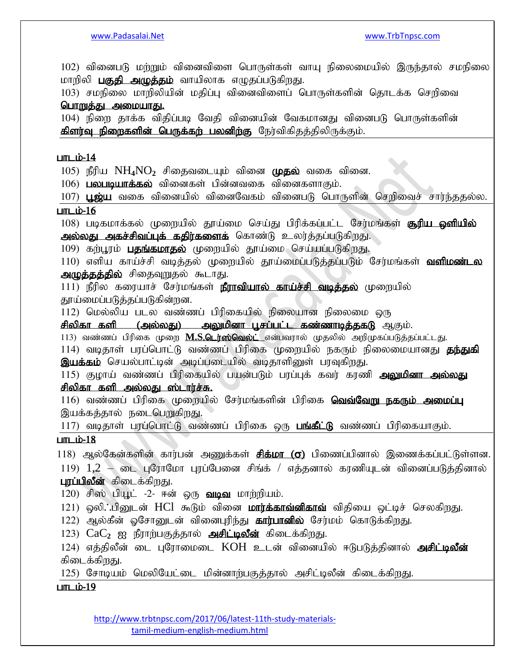102) வினைபடு மர்றும் வினைவிளை பொருள்கள் வாயு நிலைமையில் இருந்தால் சமநிலை மாறிலி **பகுதி அழுத்தம்** வாயிலாக எழுதப்படுகிறது.

103) சமநிலை மாறிலியின் மதிப்பு வினைவிளைப் பொருள்களின் தொடக்க செறிவை பொறுத்து அமையாது.

104) நிறை தாக்க விதிப்படி வேதி வினையின் வேகமானது வினைபடு பொருள்களின் கிளர்வு நிறைகளின் பெருக்கற் பலனிற்கு நேர்விகிதத்திலிருக்கும்.

#### $LmL$ i $b-14$

105) நீரிய  $NH_4NO_2$  சிதைவடையும் வினை முதல் வகை வினை.

 $106)$  பலபடியாக்கல் வினைகள் பின்னவகை வினைகளாகும்.

107)  $\mu$ ஜ்ய வகை வினையில் வினைவேகம் வினைபடு பொருளின் செறிவைச் சார்ந்ததல்ல.  $L$ m $L$ i $\dot{\nu}$ -16

108) படிகமாக்கல் முறையில் தூய்மை செய்து பிரிக்கப்பட்ட சேர்மங்கள் **கூரிய ஒளியில்** அல்லது அகச்சிவப்புக் கதிர்களைக் கொண்டு உலர்த்தப்படுகிறது.

109) கற்பூரம் பதங்கமாதல் முறையில் தூய்மை செய்யப்படுகிறது.

110) எளிய காய்ச்சி வடித்தல் முறையில் தூய்மைப்படுத்தப்படும் சேர்மங்கள் **வளிமண்டல** அழுத்தத்தில் சிதைவுறுதல் கூடாது.

111) நீரில கரையாச் சேர்மங்கள் **நீராவியால் காய்ச்சி வடித்தல்** முறையில் தூய்மைப்படுத்தப்படுகின்றன.

 $112$ ) மெல்லிய படல வண்ணப் பிரிகையில் நிலையான நிலைமை ஒரு

சிலிகா களி (அல்லது) , அலுமினா பசப்பட்ட கண்ணாடிக்ககடு ஆகும்.

113) வண்ணப் பிரிகை முறை **M.S.டெர்ஸ்வெல்ட்** என்பவரால் முதலில் அறிமுகப்படுத்தப்பட்டது.

114) வடிதாள் பரப்பொட்டு வண்ணப் பிரிகை முறையில் நகரும் நிலைமையானது **தந்துகி** <mark>இயக்கம்</mark> செயல்பாட்டின் அடிப்படையில் வடிதாளினுள் பரவுகிறது.

115) குழாய் வண்ணப் பிரிகையில் பயன்படும் பரப்புக் கவர் கரணி அலுமினா அல்லது சிலிகா களி அல்லது ஸ்டார்ச்சு.

 $116$ ) வண்ணப் பிரிகை முறையில் சேர்மங்களின் பிரிகை **வெவ்வேறு நகரும் அமைப்பு** இயக்கத்தால் நடைபெறுகிறது.

117) வடிதாள் பரப்பொட்டு வண்ணப் பிரிகை ஒரு **பங்கீட்டு** வண்ணப் பிரிகையாகும்.

#### $L$ m $L$ i $\dot{\nu}$ -18

118) ஆல்கேன்களின் கார்பன் அணுக்கள் <mark>சிக்மா (ஏ)</mark> பிணைப்பினால் இணைக்கப்பட்டுள்ளன.

 $119)$   $1.2$  – டை புரோமோ புரப்பேனை சிங்க் / எத்தனால் கரணியுடன் வினைப்படுத்தினால் **புரப்பிலீன்** கிடைக்கிறது.

 $120$ ) சிஸ் பியூட் -2- ஈன் ஒரு **வடிவ** மாற்றியம்.

121) ஒலி. பினுடன் HCl கூடும் வினை **மார்க்காவ்னிகாவ்** விதியை ஒட்டிச் செலகிறது.

122) ஆல்கீன் ஓசோனுடன் வினைபுரிந்து **கார்பானில்** சேர்மம் கொடுக்கிறது.

123)  $CaC<sub>2</sub>$  ஐ நீராற்பகுத்தால் அசிட்டிலீன் கிடைக்கிறது.

124) எத்திலீன் டை புரோமைடை KOH உடன் வினையில் ஈடுபடுத்தினால் **அசிட்டிலீன்** கிடைக்கிறது.

125) சோடியம் மெலியேட்டை மின்னாற்பகுத்தால் அசிட்டிலீன் கிடைக்கிறது.

#### $L$ m $L$ i $\dot{\mathrm{D}}$ -19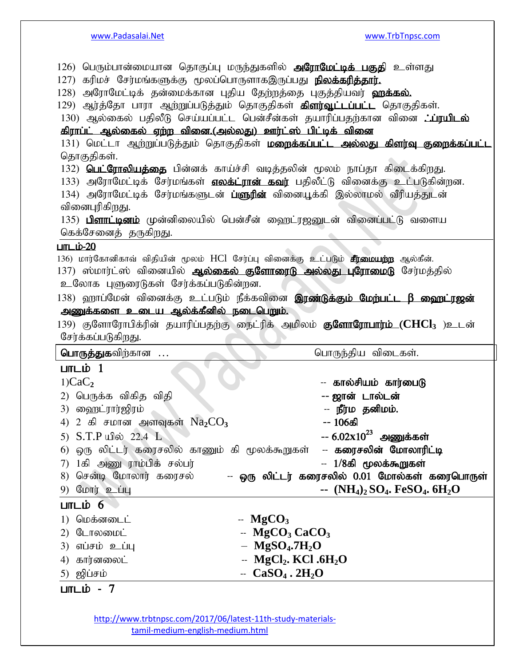| கரிமச் சேர்மங்களுக்கு மூலப்பொருளாகஇருப்பது <b>நிலக்கரித்தார்.</b><br>127)<br>128) அரோமேட்டிக் தன்மைக்கான புதிய தேற்றத்தை புகுத்தியவர் <b>ஹக்கல்.</b><br>கிராப்ட் ஆல்கைல் ஏற்ற வினை.(அல்லது) ஊர்ட்ஸ் பிட்டிக் வினை<br>தொகுதிகள்.<br>வினைபுரிகிறது. | 126) பெரும்பான்மையான தொகுப்பு மருந்துகளில் <b>அரோமேட்டிக் பகுதி</b> உள்ளது<br>129) ஆர்த்தோ பாரா ஆற்றுப்படுத்தும் தொகுதிகள் <b>கிளர்வூட்டப்பட்ட</b> தொகுதிகள்.<br>130) ஆல்கைல் பதிலீடு செய்யப்பட்ட பென்சீன்கள் தயாரிப்பதற்கான வினை <i>:ப்</i> ரயிடல்<br>131) மெட்டா ஆற்றுப்படுத்தும் தொகுதிகள் <b>மறைக்கப்பட்ட அல்லது கிளர்வு குறைக்கப்பட்ட</b><br>132) <b>பெட்ரோலியத்தை</b> பின்னக் காய்ச்சி வடித்தலின் மூலம் நாப்தா கிடைக்கிறது.<br>133) அரோமேட்டிக் சேர்மங்கள் எலக்ட்ரான் கவர் பதிலீட்டு வினைக்கு உட்படுகின்றன.<br>134) அரோமேட்டிக் சேர்மங்களுடன் <b>ப்ளுரின்</b> வினையூக்கி இல்லாமல் வீரியத்துடன்<br>135) பிளாட்டினம் முன்னிலையில் பென்சீன் ஹைட்ரஜனுடன் வினைப்பட்டு வளைய |
|---------------------------------------------------------------------------------------------------------------------------------------------------------------------------------------------------------------------------------------------------|-----------------------------------------------------------------------------------------------------------------------------------------------------------------------------------------------------------------------------------------------------------------------------------------------------------------------------------------------------------------------------------------------------------------------------------------------------------------------------------------------------------------------------------------------------------------------------------------------------------------------------------------------------------------------------|
| கெக்சேனைத் தருகிறது.                                                                                                                                                                                                                              |                                                                                                                                                                                                                                                                                                                                                                                                                                                                                                                                                                                                                                                                             |
| <u>பாடம்-20</u>                                                                                                                                                                                                                                   |                                                                                                                                                                                                                                                                                                                                                                                                                                                                                                                                                                                                                                                                             |
| உலோக புளுரைடுகள் சேர்க்கப்படுகின்றன.                                                                                                                                                                                                              | 136) மார்கோனிகாவ் விதியின் மூலம் HCl சேர்ப்பு வினைக்கு உட்படும் <b>சீர்மையற்ற</b> ஆல்கீன்.<br>137) ஸ்மார்ட்ஸ் வினையில் <b>ஆல்கைல் குளோரைடு அல்லது புரோமைடு</b> சேர்மத்தில்                                                                                                                                                                                                                                                                                                                                                                                                                                                                                                  |
|                                                                                                                                                                                                                                                   | 138) ஹாப்மேன் வினைக்கு உட்படும் நீக்கவினை <b>இரண்டுக்கும் மேற்பட்ட β ஹைட்ரஜன்</b>                                                                                                                                                                                                                                                                                                                                                                                                                                                                                                                                                                                           |
| <u>அணுக்களை உடைய ஆல்க்கீனில் நடைபெறும்.</u>                                                                                                                                                                                                       |                                                                                                                                                                                                                                                                                                                                                                                                                                                                                                                                                                                                                                                                             |
|                                                                                                                                                                                                                                                   | 139) குளோரோபிக்ரின் தயாரிப்பதற்கு நைட்ரிக் அமிலம் <b>குளோரோபார்ம் (CHCl3</b> )உடன்                                                                                                                                                                                                                                                                                                                                                                                                                                                                                                                                                                                          |
| சேர்க்கப்படுகிறது.                                                                                                                                                                                                                                |                                                                                                                                                                                                                                                                                                                                                                                                                                                                                                                                                                                                                                                                             |
| பொருத்துகவிற்கான                                                                                                                                                                                                                                  | பொருந்திய விடைகள்.                                                                                                                                                                                                                                                                                                                                                                                                                                                                                                                                                                                                                                                          |
|                                                                                                                                                                                                                                                   |                                                                                                                                                                                                                                                                                                                                                                                                                                                                                                                                                                                                                                                                             |
|                                                                                                                                                                                                                                                   |                                                                                                                                                                                                                                                                                                                                                                                                                                                                                                                                                                                                                                                                             |
| பாடம் 1                                                                                                                                                                                                                                           |                                                                                                                                                                                                                                                                                                                                                                                                                                                                                                                                                                                                                                                                             |
| 1)CaC <sub>2</sub>                                                                                                                                                                                                                                | -- கால்சியம் கார்பைடு                                                                                                                                                                                                                                                                                                                                                                                                                                                                                                                                                                                                                                                       |
| 2) பெருக்க விகித விதி                                                                                                                                                                                                                             | -- ஜான் டால்டன்                                                                                                                                                                                                                                                                                                                                                                                                                                                                                                                                                                                                                                                             |
| 3) ஹைட்ரார்ஜிரம்                                                                                                                                                                                                                                  | -- நீர்ம தனிமம்.                                                                                                                                                                                                                                                                                                                                                                                                                                                                                                                                                                                                                                                            |
| 4) 2 கி சமான அளவுகள் $\mathrm{Na_{2}CO_{3}}$                                                                                                                                                                                                      | -- 106கி                                                                                                                                                                                                                                                                                                                                                                                                                                                                                                                                                                                                                                                                    |
| 5) S.T.P யில் 22.4 L                                                                                                                                                                                                                              | -- $6.02x10^{23}$ அணுக்கள்                                                                                                                                                                                                                                                                                                                                                                                                                                                                                                                                                                                                                                                  |
| 6) ஒரு லிட்டர் கரைசலில் காணும் கி மூலக்கூறுகள்                                                                                                                                                                                                    | -- கரைசலின் மோலாரிட்டி                                                                                                                                                                                                                                                                                                                                                                                                                                                                                                                                                                                                                                                      |
| 1கி அணு ராம்பிக் சல்பர்<br>7)                                                                                                                                                                                                                     | -- 1/8கி மூலக்கூறுகள்                                                                                                                                                                                                                                                                                                                                                                                                                                                                                                                                                                                                                                                       |
| 8) சென்டி மோலார் கரைசல்                                                                                                                                                                                                                           | -- ஒரு லிட்டர் கரைசலில் 0.01 மோல்கள் கரைபொருள்                                                                                                                                                                                                                                                                                                                                                                                                                                                                                                                                                                                                                              |
| 9) மோர் உப்பு                                                                                                                                                                                                                                     | $\sim$ (NH <sub>4</sub> ) <sub>2</sub> SO <sub>4</sub> . FeSO <sub>4</sub> . 6H <sub>2</sub> O                                                                                                                                                                                                                                                                                                                                                                                                                                                                                                                                                                              |
| பாடம் 6                                                                                                                                                                                                                                           |                                                                                                                                                                                                                                                                                                                                                                                                                                                                                                                                                                                                                                                                             |
| மெக்னடைட்<br>1)                                                                                                                                                                                                                                   | $-$ MgCO <sub>3</sub>                                                                                                                                                                                                                                                                                                                                                                                                                                                                                                                                                                                                                                                       |
| டோலமைட்<br>2)                                                                                                                                                                                                                                     | $-$ MgCO <sub>3</sub> CaCO <sub>3</sub>                                                                                                                                                                                                                                                                                                                                                                                                                                                                                                                                                                                                                                     |
| 3) எப்சம் உப்பு                                                                                                                                                                                                                                   | $-$ MgSO <sub>4</sub> .7H <sub>2</sub> O                                                                                                                                                                                                                                                                                                                                                                                                                                                                                                                                                                                                                                    |
| கார்னலைட்<br>4)                                                                                                                                                                                                                                   | $-$ MgCl <sub>2</sub> . KCl .6H <sub>2</sub> O                                                                                                                                                                                                                                                                                                                                                                                                                                                                                                                                                                                                                              |
| 5) ஜிப்சம்<br>$LmL\dot{b} - 7$                                                                                                                                                                                                                    | $-$ CaSO <sub>4</sub> . 2H <sub>2</sub> O                                                                                                                                                                                                                                                                                                                                                                                                                                                                                                                                                                                                                                   |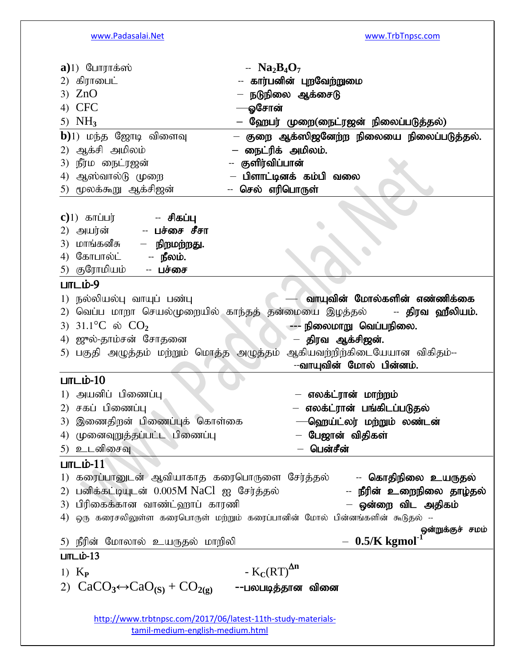| $a)1$ ) போராக்ஸ்                                         | -- $Na2B4O7$                                                                                        |
|----------------------------------------------------------|-----------------------------------------------------------------------------------------------------|
| 2) கிராபைட்                                              | -- கார்பனின் புறவேற்றுமை                                                                            |
| 3) $ZnO$                                                 | — நடுநிலை ஆக்சைடு                                                                                   |
| 4) CFC                                                   | ஓசோன்                                                                                               |
| 5) $NH3$                                                 | ஹேபர் முறை(நைட்ரஜன் நிலைப்படுத்தல்)                                                                 |
| $\mathbf{b}$ )1) மந்த ஜோடி விளைவு                        | குறை ஆக்ஸிஜனேற்ற நிலையை நிலைப்படுத்தல்.                                                             |
| ஆக்சி அமிலம்<br>2)                                       | நைட்ரிக் அமிலம்.                                                                                    |
| 3) நீர்ம நைட்ரஜன்                                        | குளிர்விப்பான்                                                                                      |
| ஆஸ்வால்டு முறை<br>4)                                     | பிளாட்டினக் கம்பி வலை                                                                               |
| 5) மூலக்கூறு ஆக்சிஜன்                                    | செல் எரிபொருள்                                                                                      |
|                                                          |                                                                                                     |
| $c)$ 1) காப்பர்<br>-- சிகப்பு                            |                                                                                                     |
| 2) அயர்ன்<br>-- பச்சை சீசா                               |                                                                                                     |
| 3) மாங்கனீசு<br>— நிறமற்றது.                             |                                                                                                     |
| 4) கோபால்ட்<br>-- நீலம்.                                 |                                                                                                     |
| 5) குரோமியம்<br>-- பச்சை                                 |                                                                                                     |
| $LITL$ ம்-9                                              |                                                                                                     |
| 1) நல்லியல்பு வாயுப் பண்பு                               | வாயுவின் மோல்களின் எண்ணிக்கை                                                                        |
| 2)                                                       | வெப்ப மாறா செயல்முறையில் காந்தத் தன்மையை இழத்தல் <b>- திரவ ஹீலியம்.</b>                             |
| 3) $31.1^{\circ}C$ ல் $CO_{2}$                           | --- நிலைமாறு வெப்பநிலை.                                                                             |
| 4) ஜுல்-தாம்சன் சோதனை                                    | திரவ ஆக்சிஜன்.                                                                                      |
|                                                          |                                                                                                     |
|                                                          |                                                                                                     |
|                                                          | 5) பகுதி அழுத்தம் மற்றும் மொத்த அழுத்தம் ஆகியவற்றிற்கிடையேயான விகிதம்--<br>--வாயுவின் மோல் பின்னம். |
| $L$ m $L$ io-10                                          |                                                                                                     |
| 1) அயனிப் பிணைப்பு                                       |                                                                                                     |
|                                                          | — எலக்ட்ரான் மாற்றம்                                                                                |
| 2) சகப் பிணைப்பு                                         | — எலக்ட்ரான் பங்கிடப்படுதல்                                                                         |
| 3) இணைதிறன் பிணைப்புக் கொள்கை                            | -ஹெய்ட்லர் மற்றும் லண்டன்                                                                           |
| 4) முனைவுறுத்தப்பட்ட பிணைப்பு                            | – பேஜான் விதிகள்                                                                                    |
| 5) உடனிசைவு                                              | பென்சீன்                                                                                            |
| $L$ m $L$ ம்- $11$                                       |                                                                                                     |
| 1) கரைப்பானுடன் ஆவியாகாத கரைபொருளை சேர்த்தல்             | -- கொதிநிலை உயருதல்                                                                                 |
| 2) பனிக்கட்டியுடன் 0.005M NaCl ஐ சேர்த்தல்               | -- நீரின் உறைநிலை தாழ்தல்                                                                           |
| 3) பிரிகைக்கான வாண்ட்ஹாப் காரணி                          | ஒன்றை விட அதிகம்                                                                                    |
|                                                          | 4) ஒரு கரைசலிலுள்ள கரைபொருள் மற்றும் கரைப்பானின் மோல் பின்னங்களின் கூடுதல் --                       |
|                                                          | ஒன்றுக்குச் சமம்                                                                                    |
| 5) நீரின் மோலால் உயருதல் மாறிலி<br>$L$ $m$ $L$ $b$ $-13$ | $-$ 0.5/K kgmol <sup>-1</sup>                                                                       |
|                                                          |                                                                                                     |
| 1) $K_{\rm P}$                                           | - $K_C (RT)^{\Delta n}$                                                                             |
| 2) $CaCO3 \leftrightarrow CaO(S) + CO2(g)$               | --பலபடித்தான வினை                                                                                   |